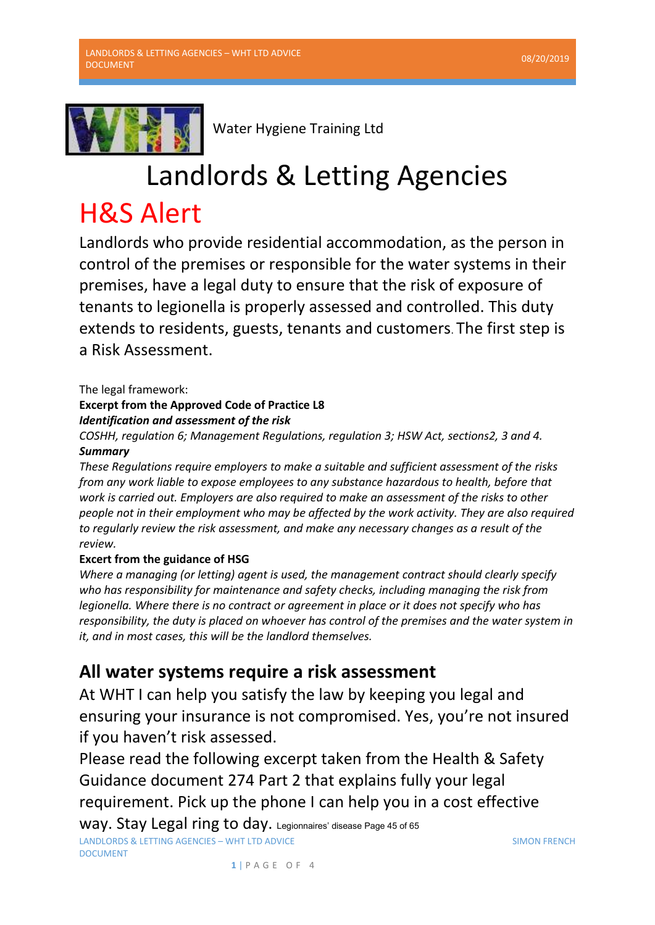

Water Hygiene Training Ltd

## Landlords & Letting Agencies

## H&S Alert

Landlords who provide residential accommodation, as the person in control of the premises or responsible for the water systems in their premises, have a legal duty to ensure that the risk of exposure of tenants to legionella is properly assessed and controlled. This duty extends to residents, guests, tenants and customers. The first step is a Risk Assessment.

The legal framework:

## **Excerpt from the Approved Code of Practice L8**  *Identification and assessment of the risk*

*COSHH, regulation 6; Management Regulations, regulation 3; HSW Act, sections2, 3 and 4. Summary* 

*These Regulations require employers to make a suitable and sufficient assessment of the risks from any work liable to expose employees to any substance hazardous to health, before that work is carried out. Employers are also required to make an assessment of the risks to other people not in their employment who may be affected by the work activity. They are also required to regularly review the risk assessment, and make any necessary changes as a result of the review.* 

## **Excert from the guidance of HSG**

*Where a managing (or letting) agent is used, the management contract should clearly specify who has responsibility for maintenance and safety checks, including managing the risk from legionella. Where there is no contract or agreement in place or it does not specify who has responsibility, the duty is placed on whoever has control of the premises and the water system in it, and in most cases, this will be the landlord themselves.* 

## **All water systems require a risk assessment**

At WHT I can help you satisfy the law by keeping you legal and ensuring your insurance is not compromised. Yes, you're not insured if you haven't risk assessed.

Please read the following excerpt taken from the Health & Safety Guidance document 274 Part 2 that explains fully your legal requirement. Pick up the phone I can help you in a cost effective

LANDLORDS & LETTING AGENCIES – WHT LTD ADVICE DOCUMENT Way. Stay Legal ring to day. Legionnaires' disease Page 45 of 65

SIMON FRENCH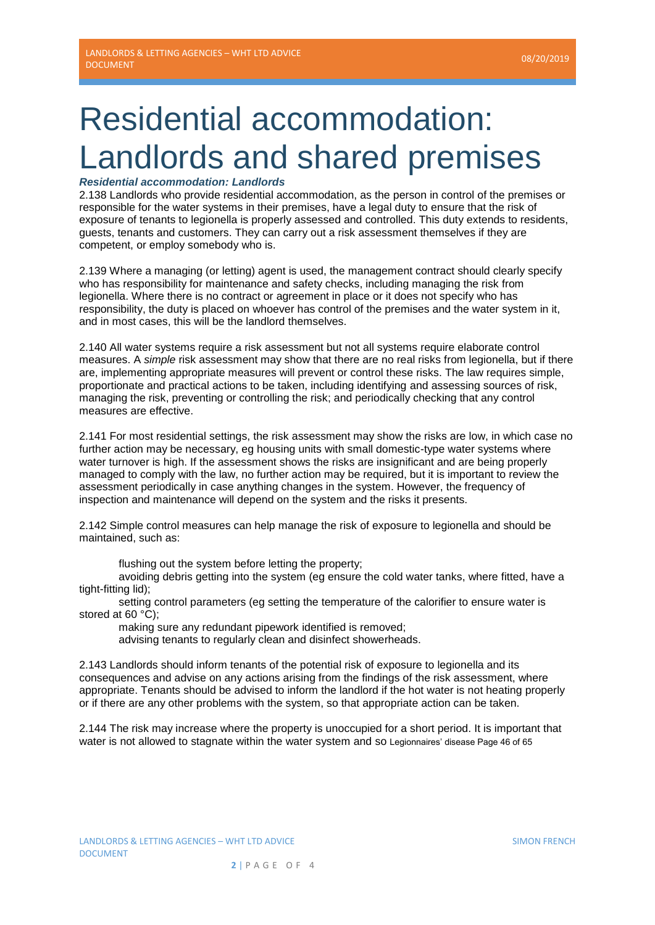# Residential accommodation: Landlords and shared premises

### *Residential accommodation: Landlords*

2.138 Landlords who provide residential accommodation, as the person in control of the premises or responsible for the water systems in their premises, have a legal duty to ensure that the risk of exposure of tenants to legionella is properly assessed and controlled. This duty extends to residents, guests, tenants and customers. They can carry out a risk assessment themselves if they are competent, or employ somebody who is.

2.139 Where a managing (or letting) agent is used, the management contract should clearly specify who has responsibility for maintenance and safety checks, including managing the risk from legionella. Where there is no contract or agreement in place or it does not specify who has responsibility, the duty is placed on whoever has control of the premises and the water system in it, and in most cases, this will be the landlord themselves.

2.140 All water systems require a risk assessment but not all systems require elaborate control measures. A *simple* risk assessment may show that there are no real risks from legionella, but if there are, implementing appropriate measures will prevent or control these risks. The law requires simple, proportionate and practical actions to be taken, including identifying and assessing sources of risk, managing the risk, preventing or controlling the risk; and periodically checking that any control measures are effective.

2.141 For most residential settings, the risk assessment may show the risks are low, in which case no further action may be necessary, eg housing units with small domestic-type water systems where water turnover is high. If the assessment shows the risks are insignificant and are being properly managed to comply with the law, no further action may be required, but it is important to review the assessment periodically in case anything changes in the system. However, the frequency of inspection and maintenance will depend on the system and the risks it presents.

2.142 Simple control measures can help manage the risk of exposure to legionella and should be maintained, such as:

flushing out the system before letting the property;

avoiding debris getting into the system (eg ensure the cold water tanks, where fitted, have a tight-fitting lid);

setting control parameters (eg setting the temperature of the calorifier to ensure water is stored at 60 °C);

making sure any redundant pipework identified is removed;

advising tenants to regularly clean and disinfect showerheads.

2.143 Landlords should inform tenants of the potential risk of exposure to legionella and its consequences and advise on any actions arising from the findings of the risk assessment, where appropriate. Tenants should be advised to inform the landlord if the hot water is not heating properly or if there are any other problems with the system, so that appropriate action can be taken.

2.144 The risk may increase where the property is unoccupied for a short period. It is important that water is not allowed to stagnate within the water system and so Legionnaires' disease Page 46 of 65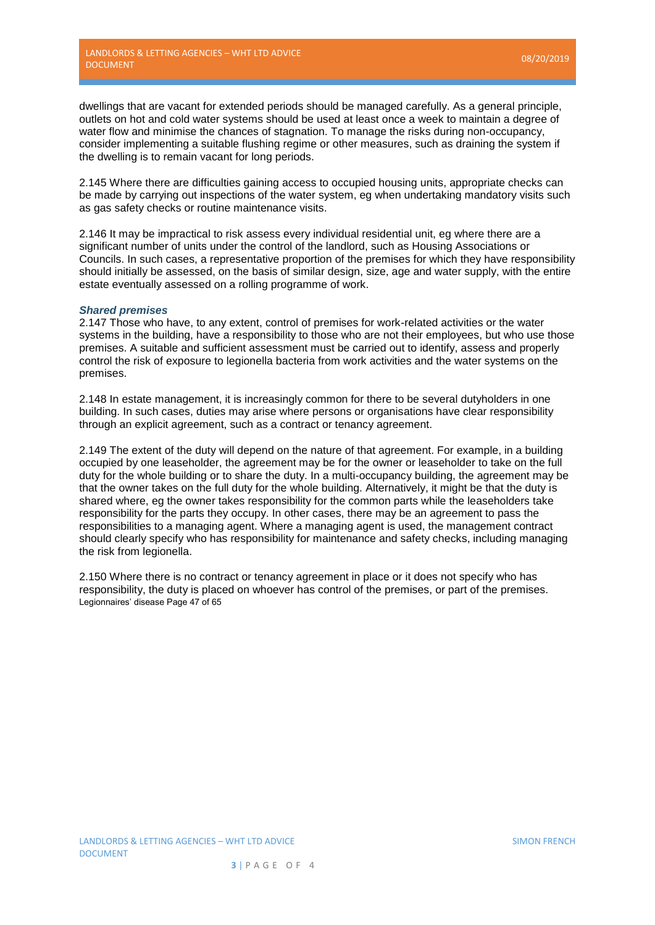dwellings that are vacant for extended periods should be managed carefully. As a general principle, outlets on hot and cold water systems should be used at least once a week to maintain a degree of water flow and minimise the chances of stagnation. To manage the risks during non-occupancy, consider implementing a suitable flushing regime or other measures, such as draining the system if the dwelling is to remain vacant for long periods.

2.145 Where there are difficulties gaining access to occupied housing units, appropriate checks can be made by carrying out inspections of the water system, eg when undertaking mandatory visits such as gas safety checks or routine maintenance visits.

2.146 It may be impractical to risk assess every individual residential unit, eg where there are a significant number of units under the control of the landlord, such as Housing Associations or Councils. In such cases, a representative proportion of the premises for which they have responsibility should initially be assessed, on the basis of similar design, size, age and water supply, with the entire estate eventually assessed on a rolling programme of work.

#### *Shared premises*

2.147 Those who have, to any extent, control of premises for work-related activities or the water systems in the building, have a responsibility to those who are not their employees, but who use those premises. A suitable and sufficient assessment must be carried out to identify, assess and properly control the risk of exposure to legionella bacteria from work activities and the water systems on the premises.

2.148 In estate management, it is increasingly common for there to be several dutyholders in one building. In such cases, duties may arise where persons or organisations have clear responsibility through an explicit agreement, such as a contract or tenancy agreement.

2.149 The extent of the duty will depend on the nature of that agreement. For example, in a building occupied by one leaseholder, the agreement may be for the owner or leaseholder to take on the full duty for the whole building or to share the duty. In a multi-occupancy building, the agreement may be that the owner takes on the full duty for the whole building. Alternatively, it might be that the duty is shared where, eg the owner takes responsibility for the common parts while the leaseholders take responsibility for the parts they occupy. In other cases, there may be an agreement to pass the responsibilities to a managing agent. Where a managing agent is used, the management contract should clearly specify who has responsibility for maintenance and safety checks, including managing the risk from legionella.

2.150 Where there is no contract or tenancy agreement in place or it does not specify who has responsibility, the duty is placed on whoever has control of the premises, or part of the premises. Legionnaires' disease Page 47 of 65